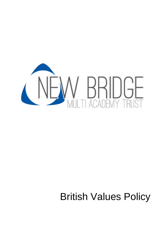

# British Values Policy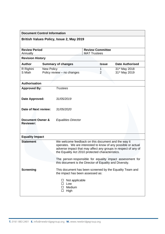| <b>Document Control Information</b>      |                                          |                                                                                                                                                                                                                                            |                                                |                     |                                                        |
|------------------------------------------|------------------------------------------|--------------------------------------------------------------------------------------------------------------------------------------------------------------------------------------------------------------------------------------------|------------------------------------------------|---------------------|--------------------------------------------------------|
| British Values Policy, Issue 2, May 2019 |                                          |                                                                                                                                                                                                                                            |                                                |                     |                                                        |
| <b>Review Period</b><br>Annually         |                                          |                                                                                                                                                                                                                                            | <b>Review Committee</b><br><b>MAT Trustees</b> |                     |                                                        |
| <b>Revision History</b>                  |                                          |                                                                                                                                                                                                                                            |                                                |                     |                                                        |
| <b>Author</b>                            | <b>Summary of changes</b>                |                                                                                                                                                                                                                                            |                                                | <b>Issue</b>        | <b>Date Authorised</b>                                 |
| R Righini<br>S Miah                      | New Policy<br>Policy review - no changes |                                                                                                                                                                                                                                            |                                                | 1<br>$\overline{2}$ | 31 <sup>st</sup> May 2018<br>31 <sup>st</sup> May 2019 |
| <b>Authorisation</b>                     |                                          |                                                                                                                                                                                                                                            |                                                |                     |                                                        |
| <b>Approved By:</b>                      |                                          | <b>Trustees</b>                                                                                                                                                                                                                            |                                                |                     |                                                        |
| Date Approved:                           |                                          | 31/05/2019                                                                                                                                                                                                                                 |                                                |                     |                                                        |
| Date of Next review:                     |                                          | 31/05/2020                                                                                                                                                                                                                                 |                                                |                     |                                                        |
| Document Owner &<br><b>Reviewer:</b>     |                                          | <b>Equalities Director</b>                                                                                                                                                                                                                 |                                                |                     |                                                        |
| <b>Equality Impact</b>                   |                                          |                                                                                                                                                                                                                                            |                                                |                     |                                                        |
| <b>Statement</b>                         |                                          | We welcome feedback on this document and the way it<br>operates. We are interested to know of any possible or actual<br>adverse impact that may affect any groups in respect of any of<br>the Equality Act 2010 protected characteristics. |                                                |                     |                                                        |
|                                          |                                          | The person responsible for equality impact assessment for<br>this document is the Director of Equality and Diversity.                                                                                                                      |                                                |                     |                                                        |
| <b>Screening</b>                         |                                          | This document has been screened by the Equality Team and<br>the impact has been assessed as:                                                                                                                                               |                                                |                     |                                                        |
|                                          |                                          | Not applicable<br>$\square$ Low<br>$\Box$ Medium<br>$\Box$ High                                                                                                                                                                            |                                                |                     |                                                        |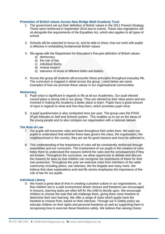## **Promotion of British values Across New Bridge Multi Academy Trust**

- 1. The government set out their definition of British values in the 2011 Prevent Strategy. These were reinforced in September 2014 due to events. These new regulations will sit alongside the requirements of the Equalities Act, which also applies to all types of school.
- 2. Schools will be expected to focus on, and be able to show, how our work with pupils is effective in embedding fundamental British values.
- 3. We agree with the Department for Education's five-part definition of British values:
	- a) democracy.
		- b) the rule of law.
		- c) individual liberty.
		- d) mutual respect.
		- e) tolerance of those of different faiths and beliefs.
- 4. Across the group all students will encounter these principles throughout everyday life. The curriculum is mapped in detail across the group. Listed below are some examples of how we promote these values in our organisational communities.

#### **Democracy**

- 5. Pupil voice is significant in regards to life at all our Academies. Our pupil elected council plays a strong role in our group. They are elected by their class peers and are involved in making the Academy a better place to learn. Pupils have a great amount of input in regards to what and how they learn, which promotes pupil voice.
- 6. A pupil questionnaire is also conducted once per year. The group uses the PASS (Pupil Attitudes to Self and School) system. This enables us to act on the views of the young people and to also compare our organisation with a national dataset.

#### **The Rule of Law**

- 7. Our pupils will encounter rules and laws throughout their entire lives. We want our pupils to understand that whether these laws govern the class, the organisation, the neighbourhood or the country, they are set for good reasons and must be adhered to.
- 8. This understanding of the importance of rules will be consistently reinforced through assemblies and our curriculum. The involvement of our pupils in the creation of rules helps them to understand the reasons behind the rules and the consequences if they are broken. Throughout the curriculum, we allow opportunity to debate and discuss the reasons for laws so that children can recognise the importance of these for their own protection. Throughout the year we welcome visits from members of the wider community including police, war veterans, the fire brigade and many more. We believe that clear explanations and real life stories emphasise the importance of the rule of law for our pupils.

#### **Individual Liberty**

9. We invest a great deal of time in creating a positive culture in our organisations, so that children are in a safe environment where choices and freedoms are encouraged. In lessons, learning tasks are often left for the child to decide upon. We encourage children to choose the task that will challenge them, giving them more freedom to determine their own learning. We offer a range of clubs which pupils have the freedom to choose from, based on their interests. Through our E-Safety policy we educate children on their rights and personal freedoms as well as supporting them in recognising how to exercise these freedoms safely. We believe that valuing choice